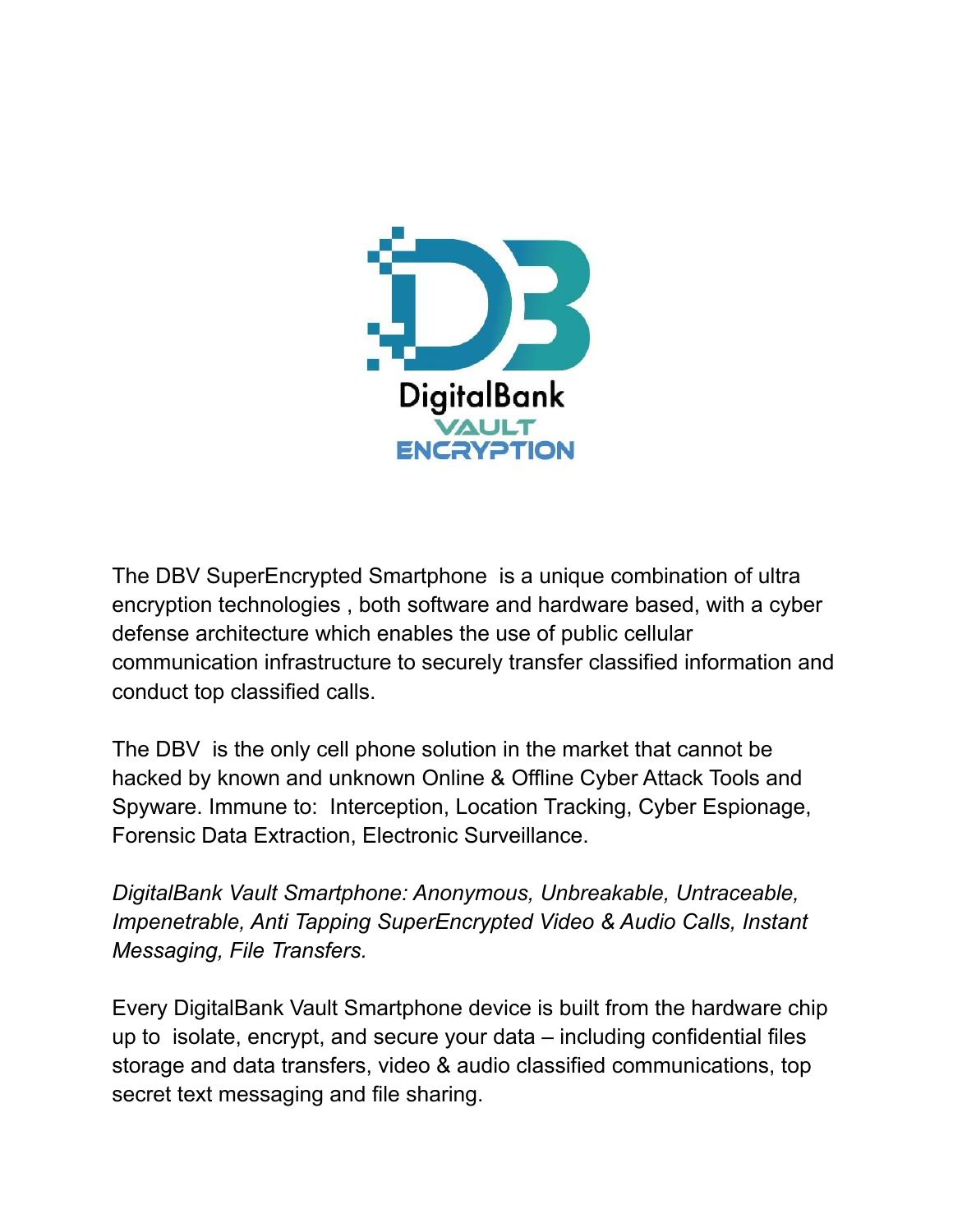

The DBV SuperEncrypted Smartphone is a unique combination of ultra encryption technologies , both software and hardware based, with a cyber defense architecture which enables the use of public cellular communication infrastructure to securely transfer classified information and conduct top classified calls.

The DBV is the only cell phone solution in the market that cannot be hacked by known and unknown Online & Offline Cyber Attack Tools and Spyware. Immune to: Interception, Location Tracking, Cyber Espionage, Forensic Data Extraction, Electronic Surveillance.

*DigitalBank Vault Smartphone: Anonymous, Unbreakable, Untraceable, Impenetrable, Anti Tapping SuperEncrypted Video & Audio Calls, Instant Messaging, File Transfers.*

Every DigitalBank Vault Smartphone device is built from the hardware chip up to isolate, encrypt, and secure your data – including confidential files storage and data transfers, video & audio classified communications, top secret text messaging and file sharing.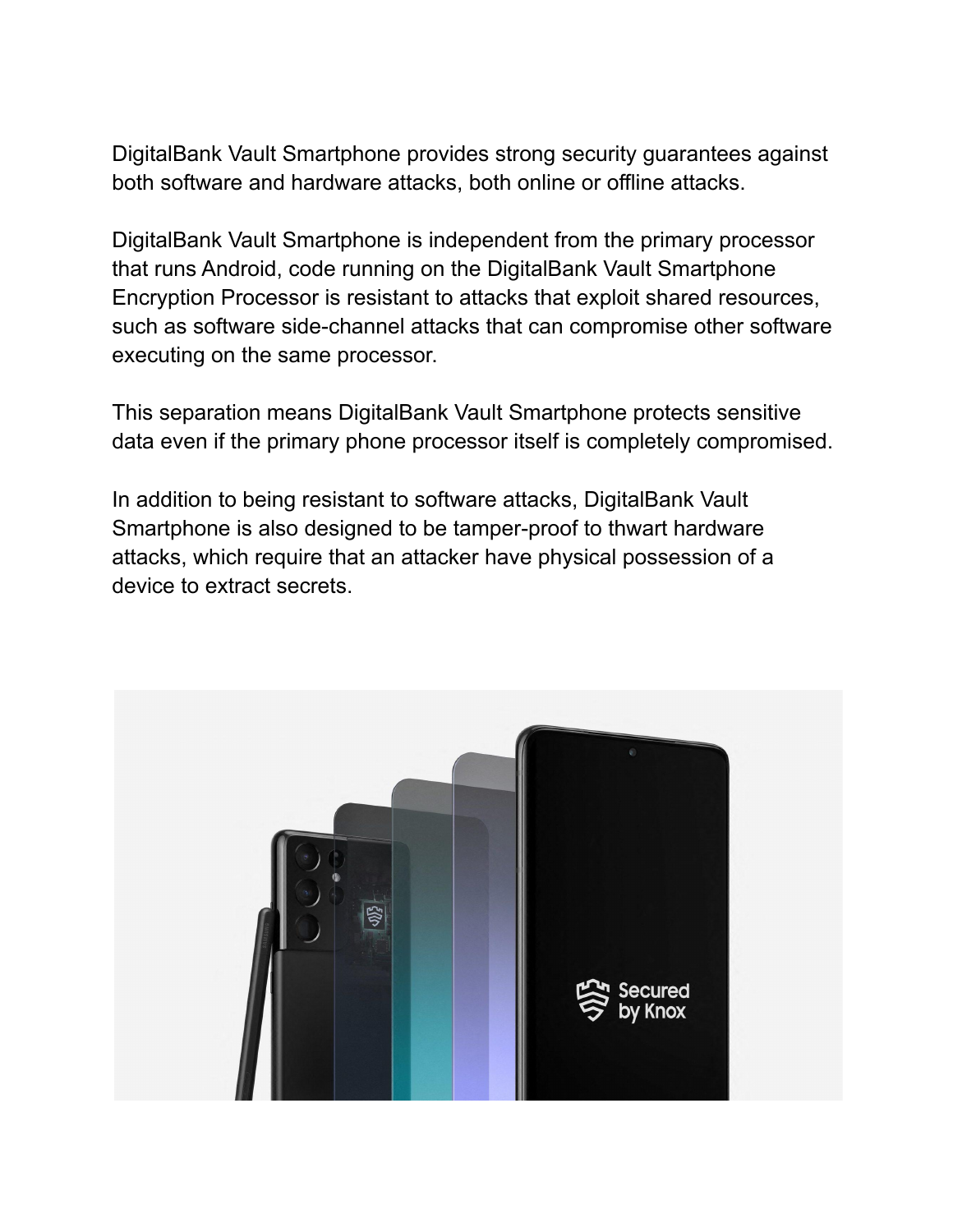DigitalBank Vault Smartphone provides strong security guarantees against both software and hardware attacks, both online or offline attacks.

DigitalBank Vault Smartphone is independent from the primary processor that runs Android, code running on the DigitalBank Vault Smartphone Encryption Processor is resistant to attacks that exploit shared resources, such as software side-channel attacks that can compromise other software executing on the same processor.

This separation means DigitalBank Vault Smartphone protects sensitive data even if the primary phone processor itself is completely compromised.

In addition to being resistant to software attacks, DigitalBank Vault Smartphone is also designed to be tamper-proof to thwart hardware attacks, which require that an attacker have physical possession of a device to extract secrets.

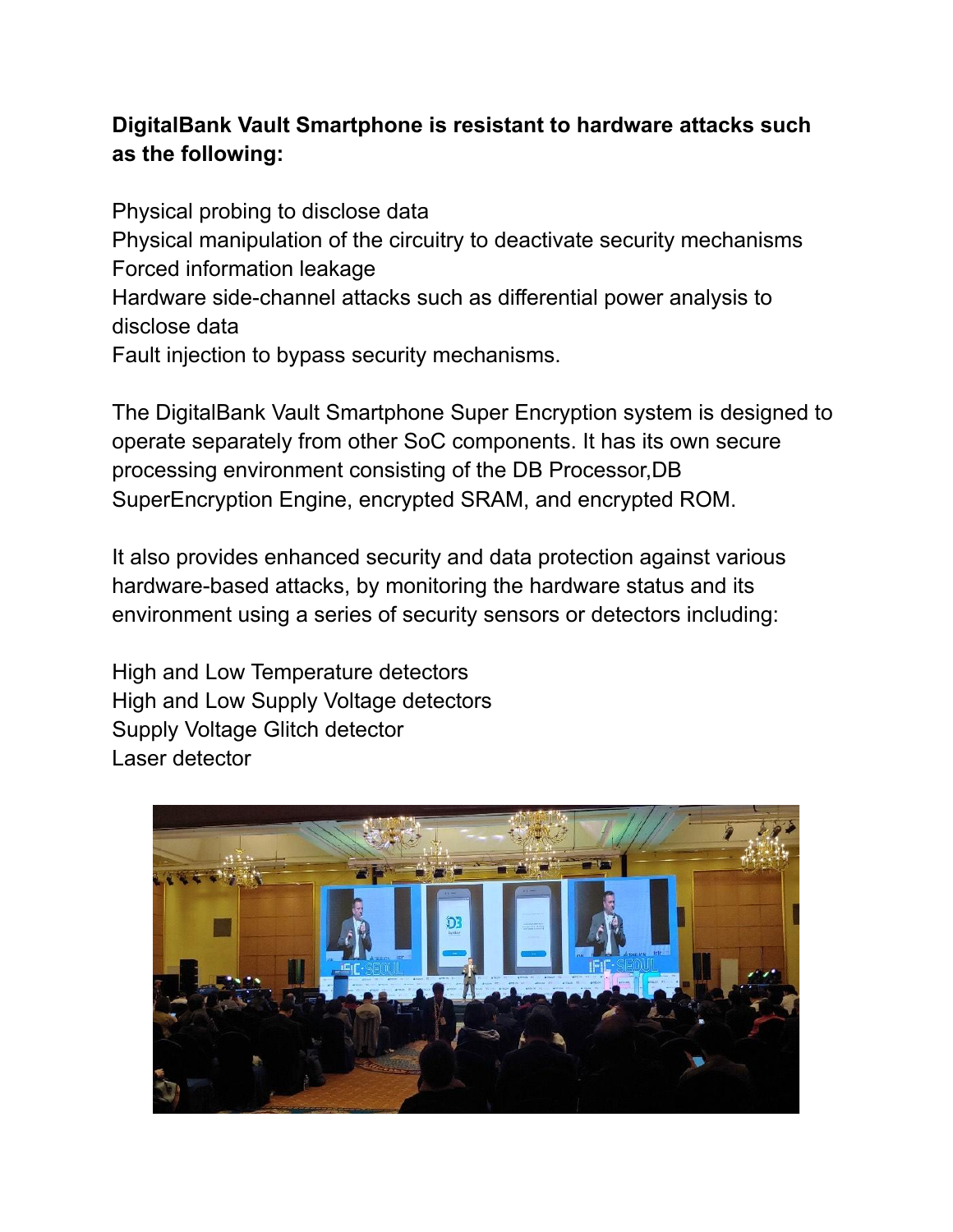# **DigitalBank Vault Smartphone is resistant to hardware attacks such as the following:**

Physical probing to disclose data Physical manipulation of the circuitry to deactivate security mechanisms Forced information leakage Hardware side-channel attacks such as differential power analysis to disclose data Fault injection to bypass security mechanisms.

The DigitalBank Vault Smartphone Super Encryption system is designed to operate separately from other SoC components. It has its own secure processing environment consisting of the DB Processor,DB SuperEncryption Engine, encrypted SRAM, and encrypted ROM.

It also provides enhanced security and data protection against various hardware-based attacks, by monitoring the hardware status and its environment using a series of security sensors or detectors including:

High and Low Temperature detectors High and Low Supply Voltage detectors Supply Voltage Glitch detector Laser detector

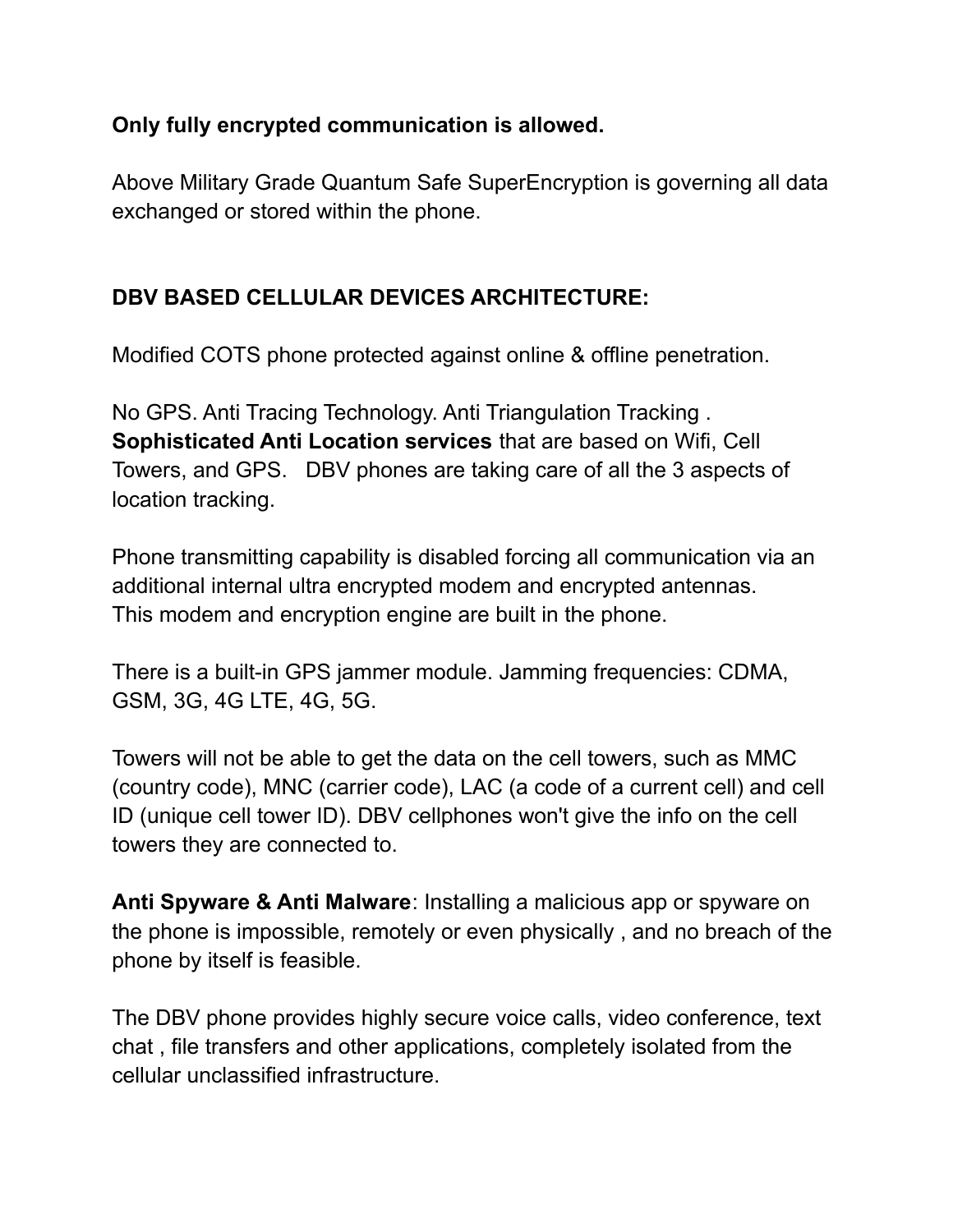#### **Only fully encrypted communication is allowed.**

Above Military Grade Quantum Safe SuperEncryption is governing all data exchanged or stored within the phone.

# **DBV BASED CELLULAR DEVICES ARCHITECTURE:**

Modified COTS phone protected against online & offline penetration.

No GPS. Anti Tracing Technology. Anti Triangulation Tracking . **Sophisticated Anti Location services** that are based on Wifi, Cell Towers, and GPS. DBV phones are taking care of all the 3 aspects of location tracking.

Phone transmitting capability is disabled forcing all communication via an additional internal ultra encrypted modem and encrypted antennas. This modem and encryption engine are built in the phone.

There is a built-in GPS jammer module. Jamming frequencies: CDMA, GSM, 3G, 4G LTE, 4G, 5G.

Towers will not be able to get the data on the cell towers, such as MMC (country code), MNC (carrier code), LAC (a code of a current cell) and cell ID (unique cell tower ID). DBV cellphones won't give the info on the cell towers they are connected to.

**Anti Spyware & Anti Malware**: Installing a malicious app or spyware on the phone is impossible, remotely or even physically , and no breach of the phone by itself is feasible.

The DBV phone provides highly secure voice calls, video conference, text chat , file transfers and other applications, completely isolated from the cellular unclassified infrastructure.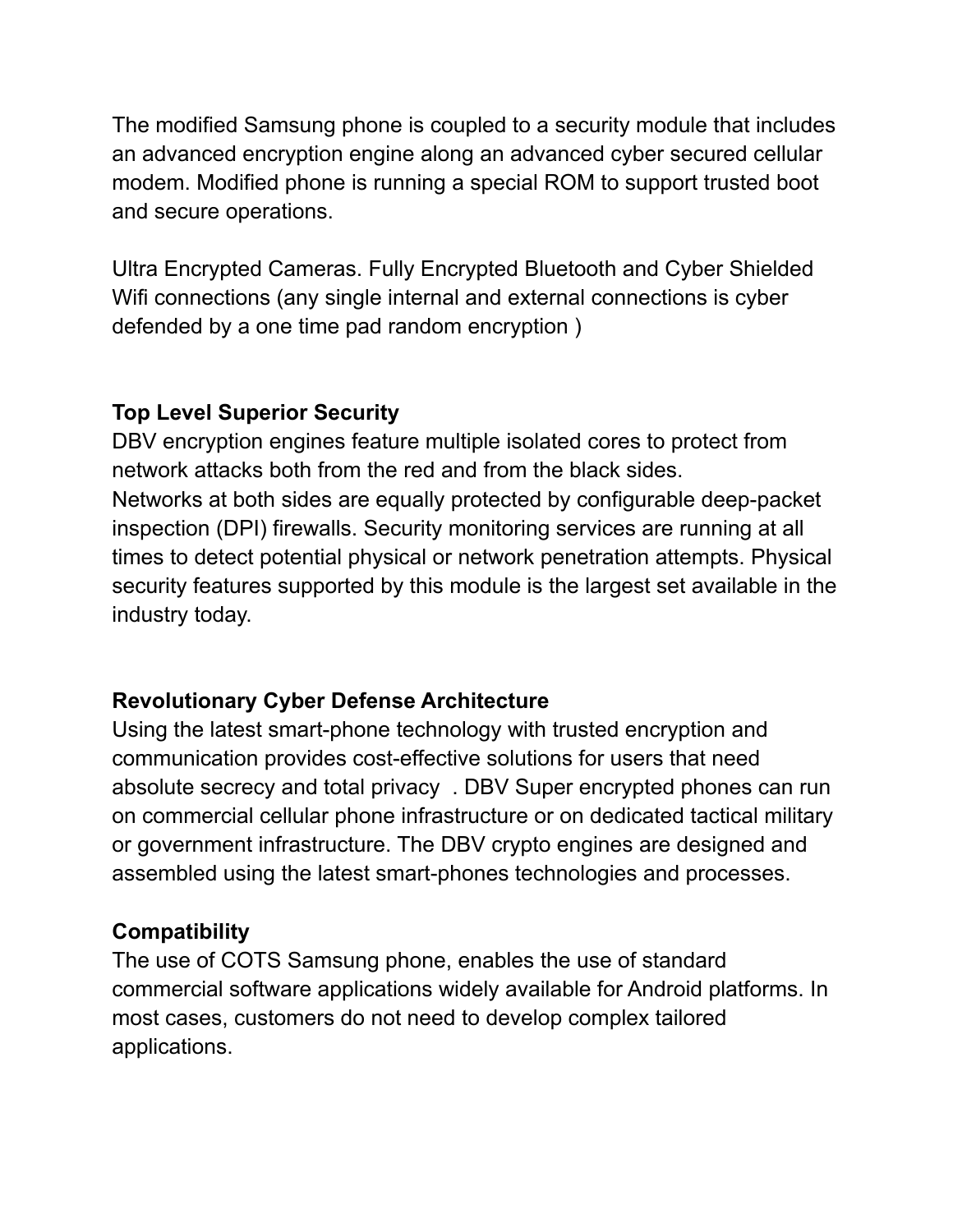The modified Samsung phone is coupled to a security module that includes an advanced encryption engine along an advanced cyber secured cellular modem. Modified phone is running a special ROM to support trusted boot and secure operations.

Ultra Encrypted Cameras. Fully Encrypted Bluetooth and Cyber Shielded Wifi connections (any single internal and external connections is cyber defended by a one time pad random encryption )

#### **Top Level Superior Security**

DBV encryption engines feature multiple isolated cores to protect from network attacks both from the red and from the black sides. Networks at both sides are equally protected by configurable deep-packet inspection (DPI) firewalls. Security monitoring services are running at all times to detect potential physical or network penetration attempts. Physical security features supported by this module is the largest set available in the industry today.

# **Revolutionary Cyber Defense Architecture**

Using the latest smart-phone technology with trusted encryption and communication provides cost-effective solutions for users that need absolute secrecy and total privacy . DBV Super encrypted phones can run on commercial cellular phone infrastructure or on dedicated tactical military or government infrastructure. The DBV crypto engines are designed and assembled using the latest smart-phones technologies and processes.

# **Compatibility**

The use of COTS Samsung phone, enables the use of standard commercial software applications widely available for Android platforms. In most cases, customers do not need to develop complex tailored applications.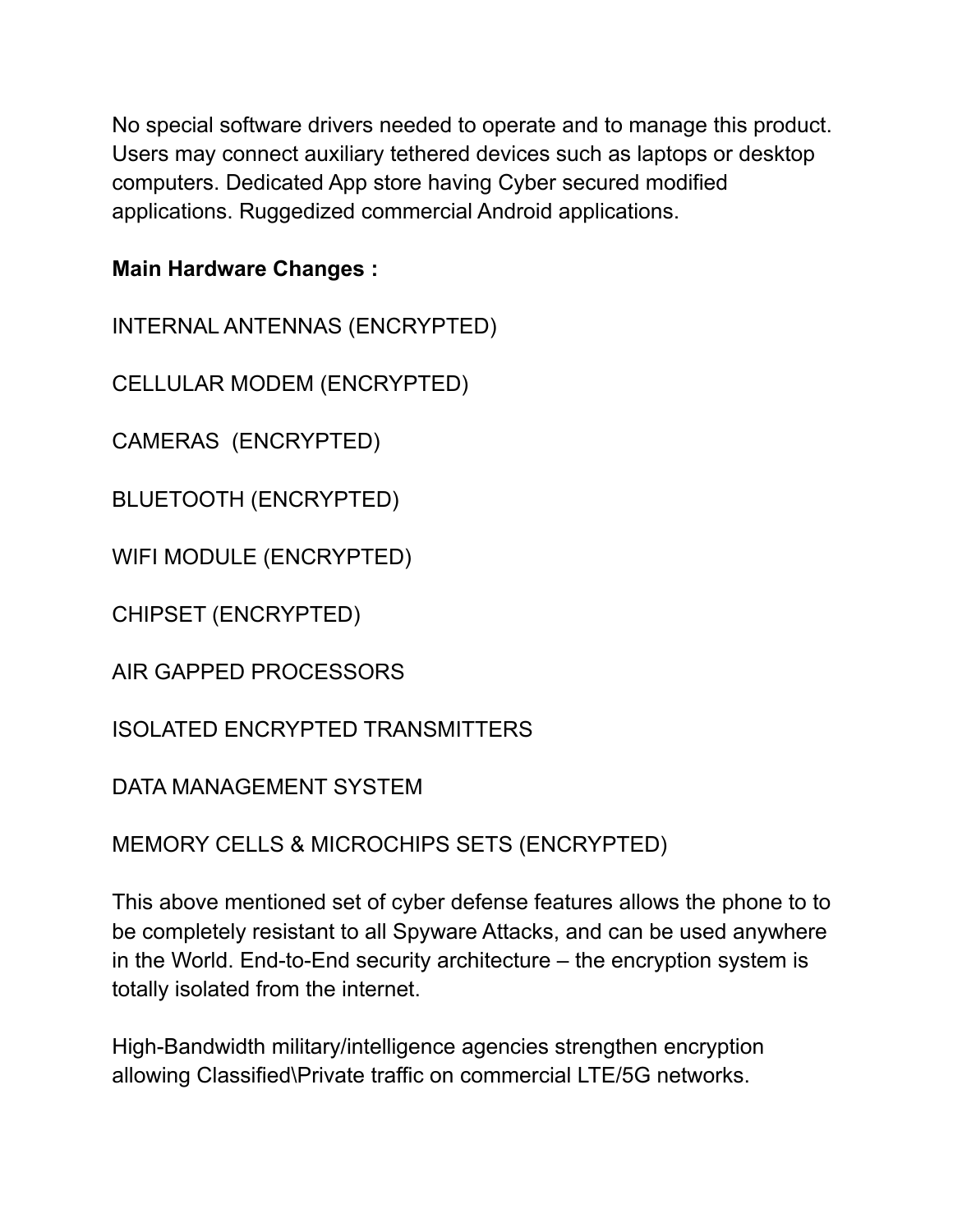No special software drivers needed to operate and to manage this product. Users may connect auxiliary tethered devices such as laptops or desktop computers. Dedicated App store having Cyber secured modified applications. Ruggedized commercial Android applications.

### **Main Hardware Changes :**

INTERNAL ANTENNAS (ENCRYPTED)

CELLULAR MODEM (ENCRYPTED)

CAMERAS (ENCRYPTED)

BLUETOOTH (ENCRYPTED)

WIFI MODULE (ENCRYPTED)

CHIPSET (ENCRYPTED)

AIR GAPPED PROCESSORS

ISOLATED ENCRYPTED TRANSMITTERS

DATA MANAGEMENT SYSTEM

MEMORY CELLS & MICROCHIPS SETS (ENCRYPTED)

This above mentioned set of cyber defense features allows the phone to to be completely resistant to all Spyware Attacks, and can be used anywhere in the World. End-to-End security architecture – the encryption system is totally isolated from the internet.

High-Bandwidth military/intelligence agencies strengthen encryption allowing Classified\Private traffic on commercial LTE/5G networks.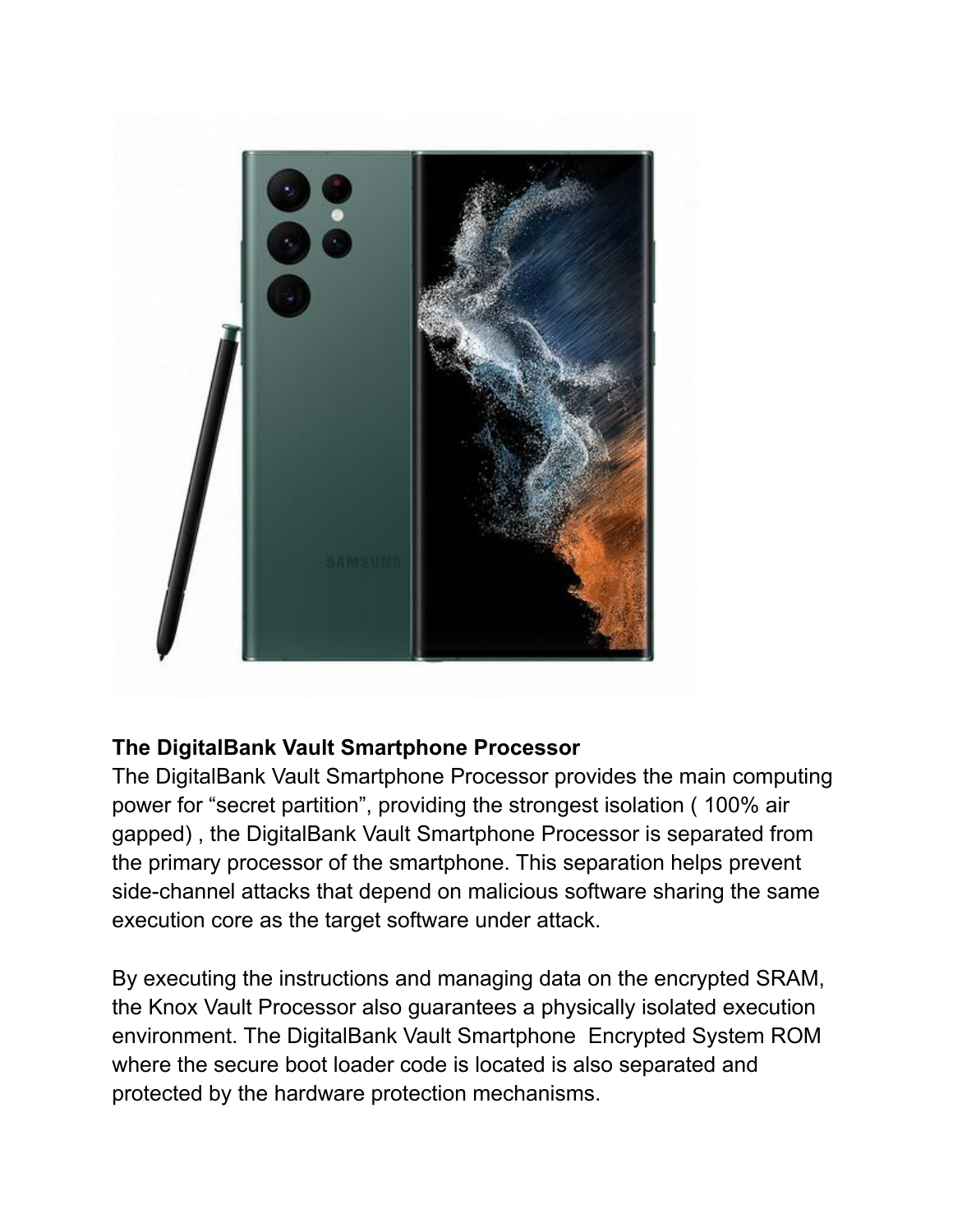

#### **The DigitalBank Vault Smartphone Processor**

The DigitalBank Vault Smartphone Processor provides the main computing power for "secret partition", providing the strongest isolation ( 100% air gapped) , the DigitalBank Vault Smartphone Processor is separated from the primary processor of the smartphone. This separation helps prevent side-channel attacks that depend on malicious software sharing the same execution core as the target software under attack.

By executing the instructions and managing data on the encrypted SRAM, the Knox Vault Processor also guarantees a physically isolated execution environment. The DigitalBank Vault Smartphone Encrypted System ROM where the secure boot loader code is located is also separated and protected by the hardware protection mechanisms.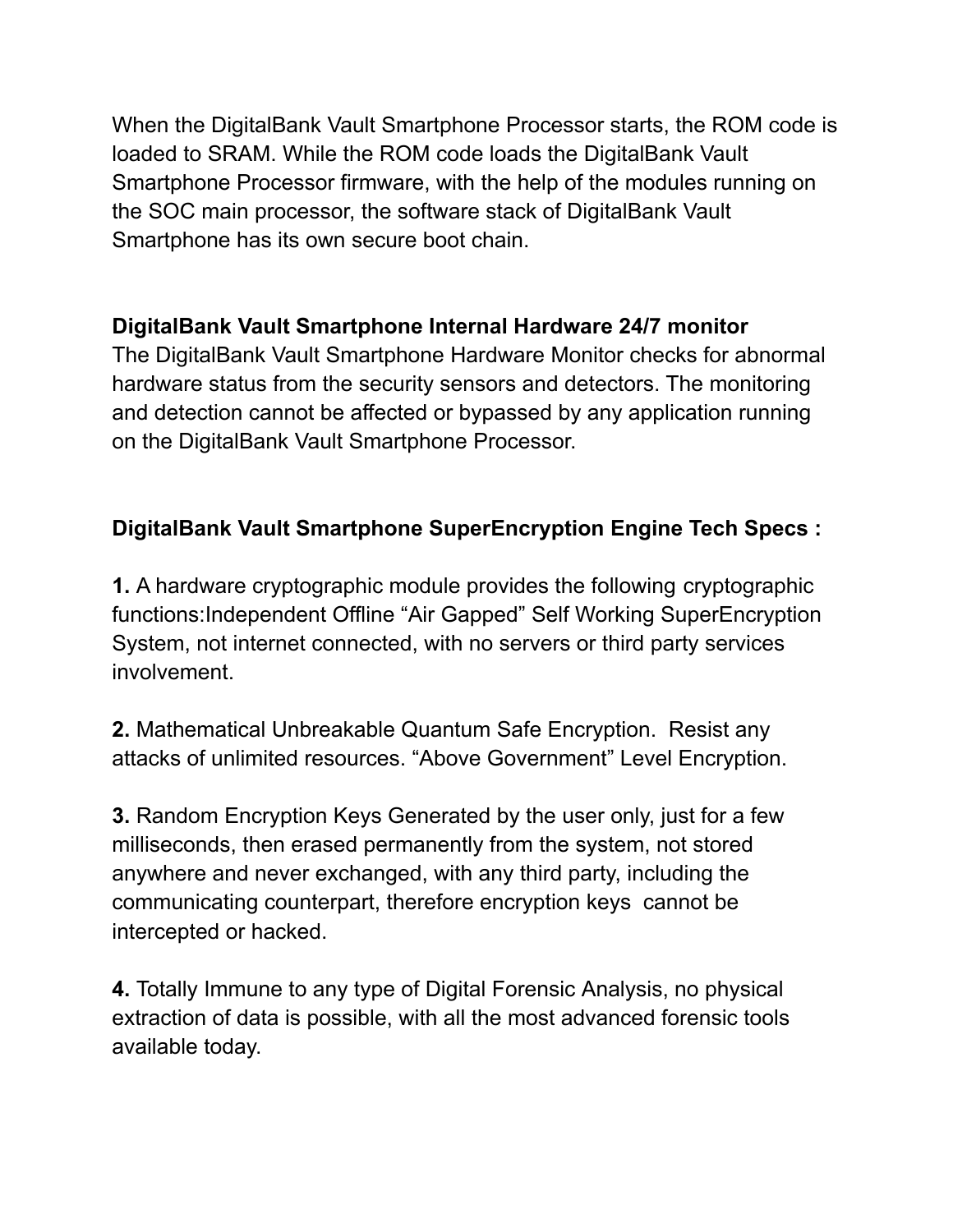When the DigitalBank Vault Smartphone Processor starts, the ROM code is loaded to SRAM. While the ROM code loads the DigitalBank Vault Smartphone Processor firmware, with the help of the modules running on the SOC main processor, the software stack of DigitalBank Vault Smartphone has its own secure boot chain.

# **DigitalBank Vault Smartphone Internal Hardware 24/7 monitor**

The DigitalBank Vault Smartphone Hardware Monitor checks for abnormal hardware status from the security sensors and detectors. The monitoring and detection cannot be affected or bypassed by any application running on the DigitalBank Vault Smartphone Processor.

# **DigitalBank Vault Smartphone SuperEncryption Engine Tech Specs :**

**1.** A hardware cryptographic module provides the following cryptographic functions:Independent Offline "Air Gapped" Self Working SuperEncryption System, not internet connected, with no servers or third party services involvement.

**2.** Mathematical Unbreakable Quantum Safe Encryption. Resist any attacks of unlimited resources. "Above Government" Level Encryption.

**3.** Random Encryption Keys Generated by the user only, just for a few milliseconds, then erased permanently from the system, not stored anywhere and never exchanged, with any third party, including the communicating counterpart, therefore encryption keys cannot be intercepted or hacked.

**4.** Totally Immune to any type of Digital Forensic Analysis, no physical extraction of data is possible, with all the most advanced forensic tools available today.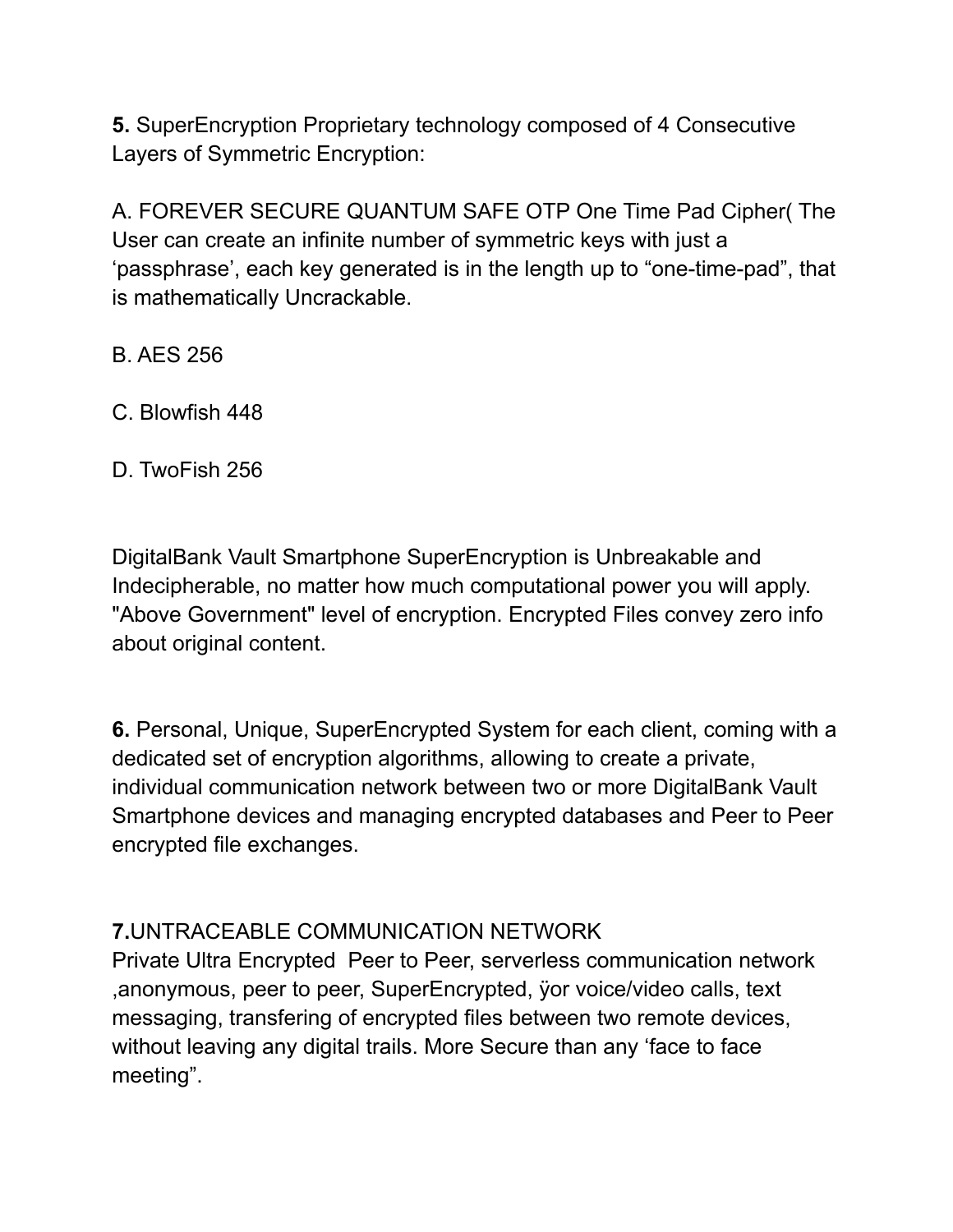**5.** SuperEncryption Proprietary technology composed of 4 Consecutive Layers of Symmetric Encryption:

A. FOREVER SECURE QUANTUM SAFE OTP One Time Pad Cipher( The User can create an infinite number of symmetric keys with just a 'passphrase', each key generated is in the length up to "one-time-pad", that is mathematically Uncrackable.

- B. AES 256
- C. Blowfish 448
- D. TwoFish 256

DigitalBank Vault Smartphone SuperEncryption is Unbreakable and Indecipherable, no matter how much computational power you will apply. "Above Government" level of encryption. Encrypted Files convey zero info about original content.

**6.** Personal, Unique, SuperEncrypted System for each client, coming with a dedicated set of encryption algorithms, allowing to create a private, individual communication network between two or more DigitalBank Vault Smartphone devices and managing encrypted databases and Peer to Peer encrypted file exchanges.

#### **7.**UNTRACEABLE COMMUNICATION NETWORK

Private Ultra Encrypted Peer to Peer, serverless communication network ,anonymous, peer to peer, SuperEncrypted, ÿor voice/video calls, text messaging, transfering of encrypted files between two remote devices, without leaving any digital trails. More Secure than any 'face to face meeting".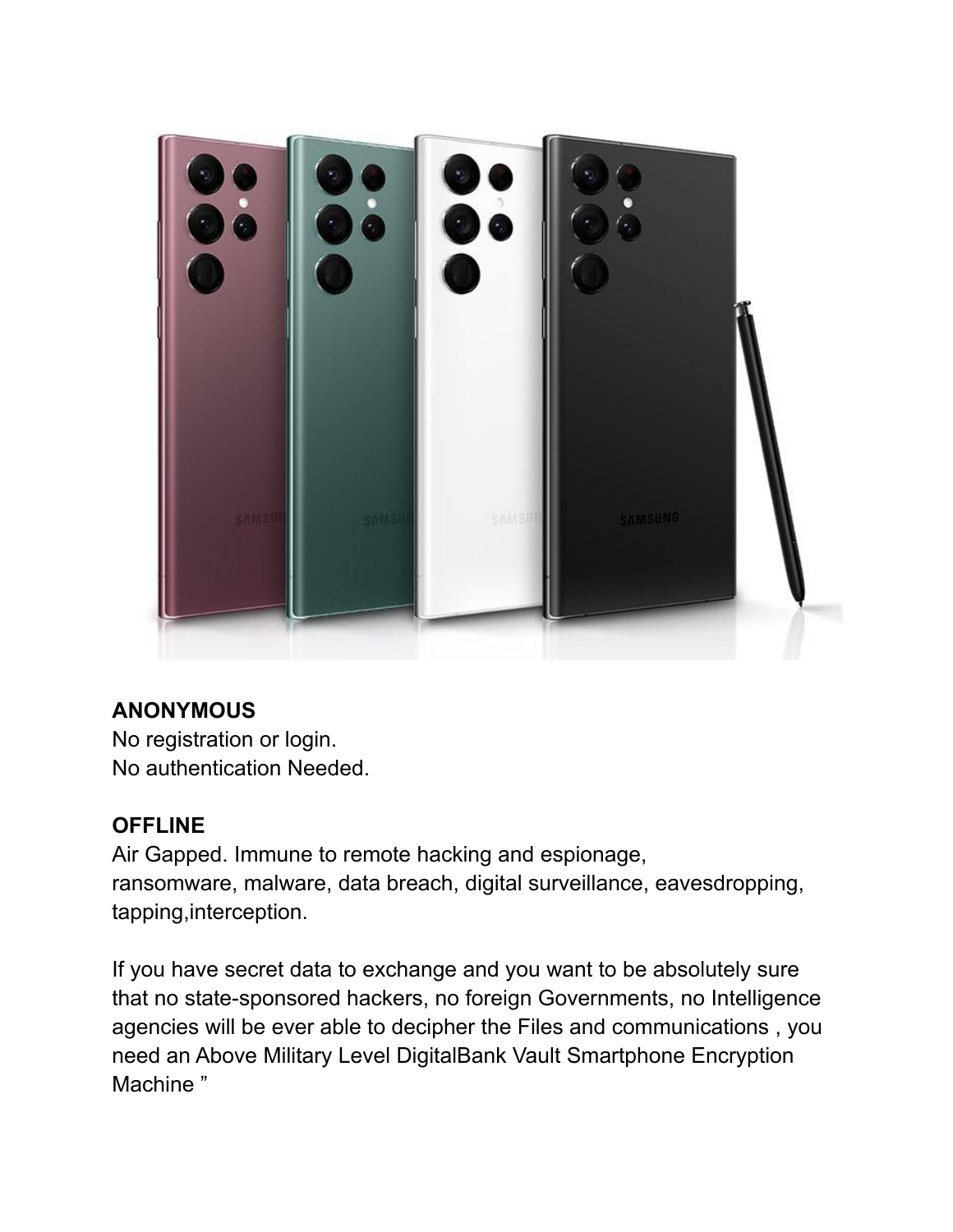

# **ANONYMOUS**

No registration or login. No authentication Needed.

# **OFFLINE**

Air Gapped. Immune to remote hacking and espionage, ransomware, malware, data breach, digital surveillance, eavesdropping, tapping,interception.

If you have secret data to exchange and you want to be absolutely sure that no state-sponsored hackers, no foreign Governments, no Intelligence agencies will be ever able to decipher the Files and communications , you need an Above Military Level DigitalBank Vault Smartphone Encryption Machine "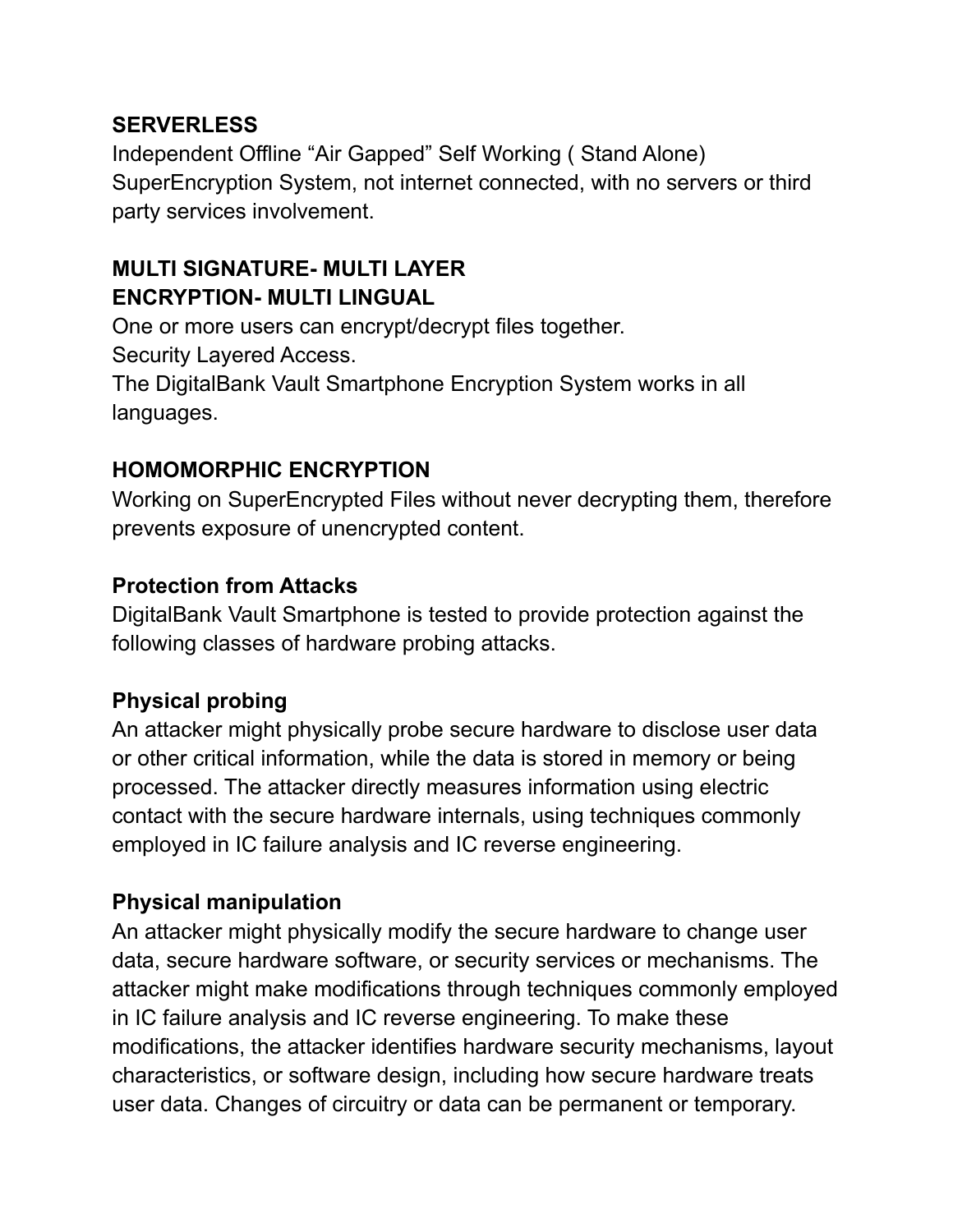#### **SERVERLESS**

Independent Offline "Air Gapped" Self Working ( Stand Alone) SuperEncryption System, not internet connected, with no servers or third party services involvement.

# **MULTI SIGNATURE- MULTI LAYER ENCRYPTION- MULTI LINGUAL**

One or more users can encrypt/decrypt files together. Security Layered Access. The DigitalBank Vault Smartphone Encryption System works in all languages.

#### **HOMOMORPHIC ENCRYPTION**

Working on SuperEncrypted Files without never decrypting them, therefore prevents exposure of unencrypted content.

#### **Protection from Attacks**

DigitalBank Vault Smartphone is tested to provide protection against the following classes of hardware probing attacks.

# **Physical probing**

An attacker might physically probe secure hardware to disclose user data or other critical information, while the data is stored in memory or being processed. The attacker directly measures information using electric contact with the secure hardware internals, using techniques commonly employed in IC failure analysis and IC reverse engineering.

#### **Physical manipulation**

An attacker might physically modify the secure hardware to change user data, secure hardware software, or security services or mechanisms. The attacker might make modifications through techniques commonly employed in IC failure analysis and IC reverse engineering. To make these modifications, the attacker identifies hardware security mechanisms, layout characteristics, or software design, including how secure hardware treats user data. Changes of circuitry or data can be permanent or temporary.